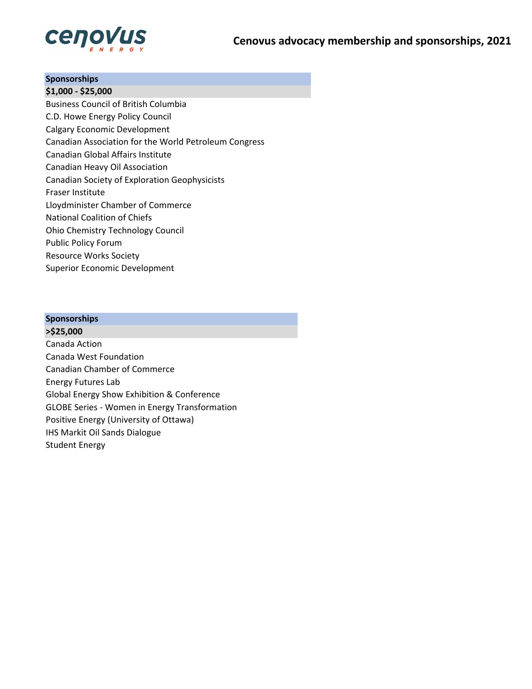

## **Sponsorships**

**\$1,000 - \$25,000** Business Council of British Columbia C.D. Howe Energy Policy Council Calgary Economic Development Canadian Association for the World Petroleum Congress Canadian Global Affairs Institute Canadian Heavy Oil Association Canadian Society of Exploration Geophysicists Fraser Institute Lloydminister Chamber of Commerce National Coalition of Chiefs Ohio Chemistry Technology Council Public Policy Forum Resource Works Society Superior Economic Development

#### **Sponsorships**

**>\$25,000** Canada Action Canada West Foundation Canadian Chamber of Commerce Energy Futures Lab Global Energy Show Exhibition & Conference GLOBE Series - Women in Energy Transformation Positive Energy (University of Ottawa) IHS Markit Oil Sands Dialogue Student Energy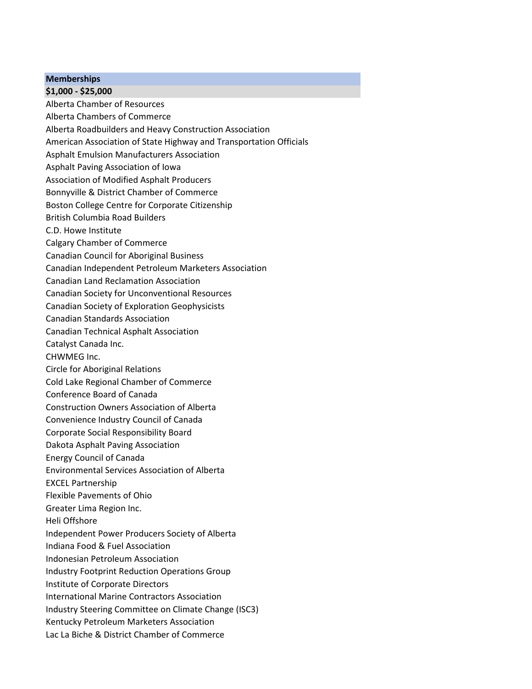### **Memberships**

## **\$1,000 - \$25,000**

Alberta Chamber of Resources

- Alberta Chambers of Commerce
- Alberta Roadbuilders and Heavy Construction Association
- American Association of State Highway and Transportation Officials
- Asphalt Emulsion Manufacturers Association
- Asphalt Paving Association of Iowa
- Association of Modified Asphalt Producers
- Bonnyville & District Chamber of Commerce
- Boston College Centre for Corporate Citizenship
- British Columbia Road Builders
- C.D. Howe Institute
- Calgary Chamber of Commerce
- Canadian Council for Aboriginal Business
- Canadian Independent Petroleum Marketers Association
- Canadian Land Reclamation Association
- Canadian Society for Unconventional Resources
- Canadian Society of Exploration Geophysicists
- Canadian Standards Association
- Canadian Technical Asphalt Association
- Catalyst Canada Inc.
- CHWMEG Inc.
- Circle for Aboriginal Relations
- Cold Lake Regional Chamber of Commerce
- Conference Board of Canada
- Construction Owners Association of Alberta
- Convenience Industry Council of Canada
- Corporate Social Responsibility Board
- Dakota Asphalt Paving Association
- Energy Council of Canada
- Environmental Services Association of Alberta
- EXCEL Partnership
- Flexible Pavements of Ohio
- Greater Lima Region Inc.
- Heli Offshore
- Independent Power Producers Society of Alberta
- Indiana Food & Fuel Association
- Indonesian Petroleum Association
- Industry Footprint Reduction Operations Group
- Institute of Corporate Directors
- International Marine Contractors Association
- Industry Steering Committee on Climate Change (ISC3)
- Kentucky Petroleum Marketers Association
- Lac La Biche & District Chamber of Commerce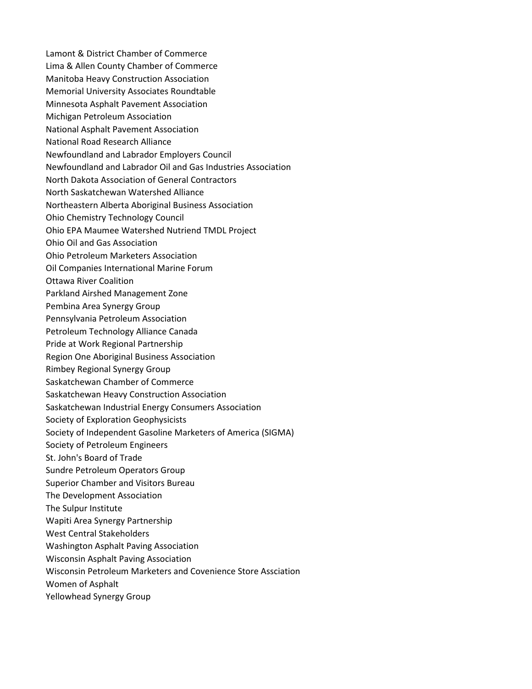- Lamont & District Chamber of Commerce Lima & Allen County Chamber of Commerce Manitoba Heavy Construction Association Memorial University Associates Roundtable Minnesota Asphalt Pavement Association Michigan Petroleum Association National Asphalt Pavement Association National Road Research Alliance Newfoundland and Labrador Employers Council Newfoundland and Labrador Oil and Gas Industries Association North Dakota Association of General Contractors North Saskatchewan Watershed Alliance Northeastern Alberta Aboriginal Business Association Ohio Chemistry Technology Council Ohio EPA Maumee Watershed Nutriend TMDL Project Ohio Oil and Gas Association Ohio Petroleum Marketers Association Oil Companies International Marine Forum Ottawa River Coalition Parkland Airshed Management Zone Pembina Area Synergy Group Pennsylvania Petroleum Association Petroleum Technology Alliance Canada Pride at Work Regional Partnership Region One Aboriginal Business Association Rimbey Regional Synergy Group Saskatchewan Chamber of Commerce Saskatchewan Heavy Construction Association Saskatchewan Industrial Energy Consumers Association Society of Exploration Geophysicists Society of Independent Gasoline Marketers of America (SIGMA) Society of Petroleum Engineers St. John's Board of Trade Sundre Petroleum Operators Group Superior Chamber and Visitors Bureau The Development Association The Sulpur Institute Wapiti Area Synergy Partnership West Central Stakeholders Washington Asphalt Paving Association Wisconsin Asphalt Paving Association Wisconsin Petroleum Marketers and Covenience Store Assciation
- Women of Asphalt
- Yellowhead Synergy Group